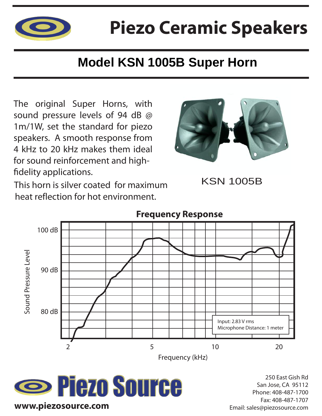

## **Piezo Ceramic Speakers**

## **Model KSN 1005B Super Horn**

The original Super Horns, with sound pressure levels of 94 dB @ 1m/1W, set the standard for piezo speakers. A smooth response from 4 kHz to 20 kHz makes them ideal for sound reinforcement and high fidelity applications.



KSN 1005B

This horn is silver coated for maximum heat reflection for hot environment.





250 East Gish Rd San Jose, CA 95112 Phone: 408-487-1700 Fax: 408-487-1707 Email: sales@piezosource.com